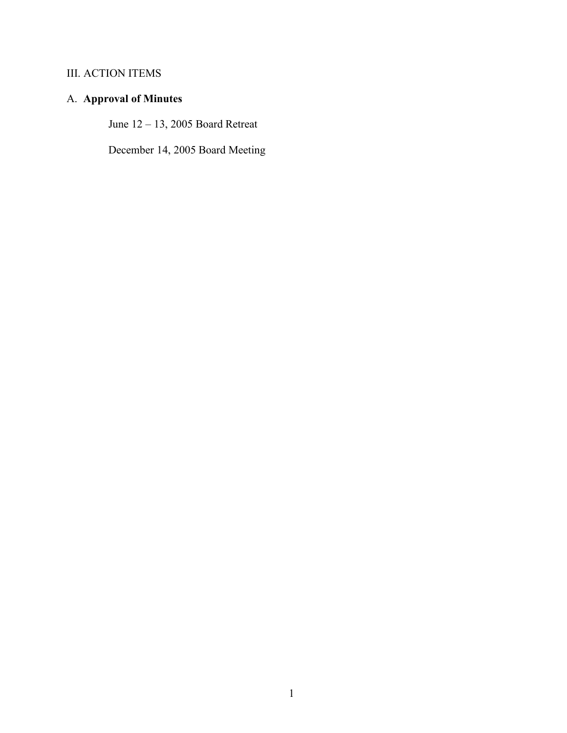## III. ACTION ITEMS

# A. **Approval of Minutes**

June 12 – 13, 2005 Board Retreat

December 14, 2005 Board Meeting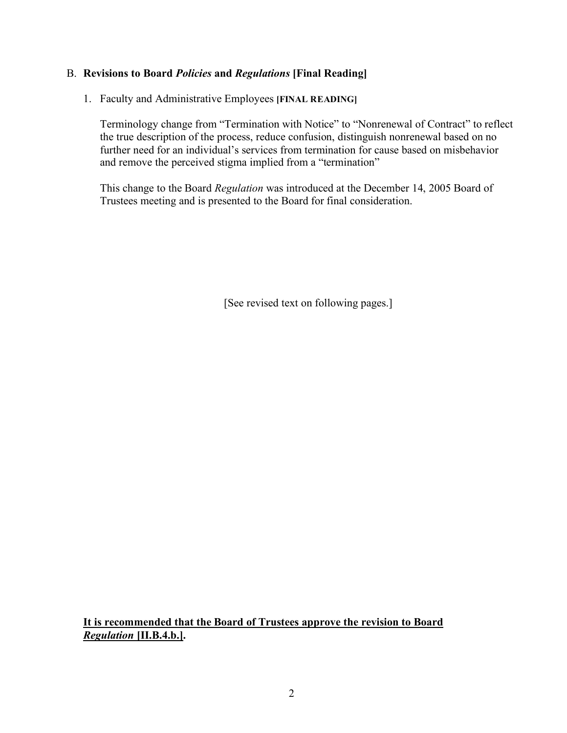1. Faculty and Administrative Employees **[FINAL READING]**

Terminology change from "Termination with Notice" to "Nonrenewal of Contract" to reflect the true description of the process, reduce confusion, distinguish nonrenewal based on no further need for an individual's services from termination for cause based on misbehavior and remove the perceived stigma implied from a "termination"

This change to the Board *Regulation* was introduced at the December 14, 2005 Board of Trustees meeting and is presented to the Board for final consideration.

[See revised text on following pages.]

**It is recommended that the Board of Trustees approve the revision to Board** *Regulation* **[II.B.4.b.].**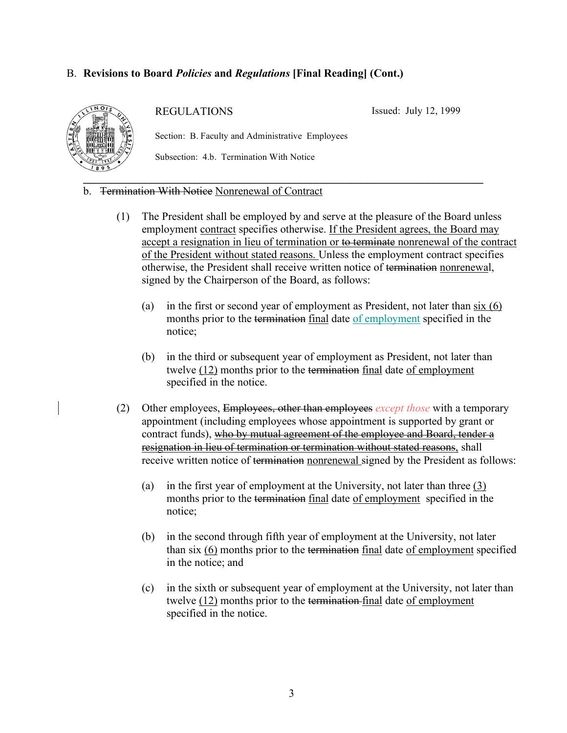

REGULATIONS

Issued: July 12, 1999

Section: B. Faculty and Administrative Employees

Subsection: 4.b. Termination With Notice

- b. Termination With Notice Nonrenewal of Contract
	- (1) The President shall be employed by and serve at the pleasure of the Board unless employment contract specifies otherwise. If the President agrees, the Board may accept a resignation in lieu of termination or to terminate nonrenewal of the contract of the President without stated reasons. Unless the employment contract specifies otherwise, the President shall receive written notice of termination nonrenewal, signed by the Chairperson of the Board, as follows:
		- (a) in the first or second year of employment as President, not later than six (6) months prior to the termination final date of employment specified in the notice;
		- (b) in the third or subsequent year of employment as President, not later than twelve (12) months prior to the termination final date of employment specified in the notice.
	- (2) Other employees, Employees, other than employees *except those* with a temporary appointment (including employees whose appointment is supported by grant or contract funds), who by mutual agreement of the employee and Board, tender a resignation in lieu of termination or termination without stated reasons, shall receive written notice of termination nonrenewal signed by the President as follows:
		- (a) in the first year of employment at the University, not later than three  $(3)$ months prior to the termination final date of employment specified in the notice;
		- (b) in the second through fifth year of employment at the University, not later than six (6) months prior to the termination final date of employment specified in the notice; and
		- (c) in the sixth or subsequent year of employment at the University, not later than twelve (12) months prior to the termination final date of employment specified in the notice.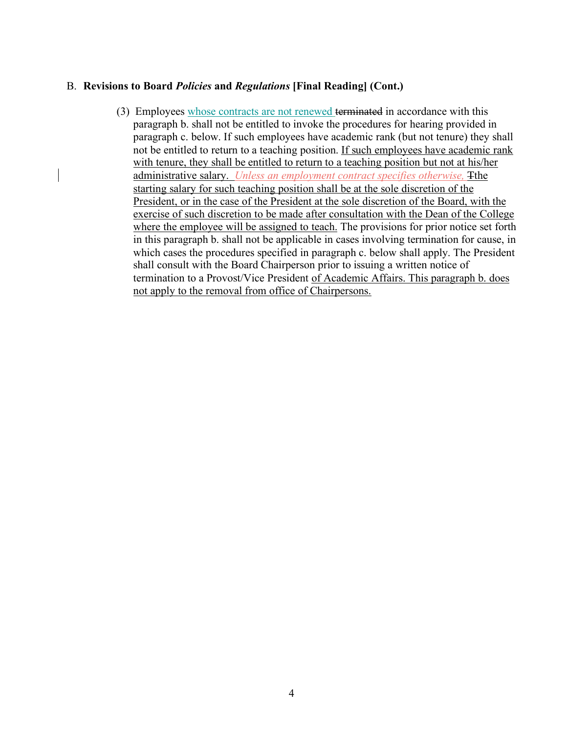(3) Employees whose contracts are not renewed terminated in accordance with this paragraph b. shall not be entitled to invoke the procedures for hearing provided in paragraph c. below. If such employees have academic rank (but not tenure) they shall not be entitled to return to a teaching position. If such employees have academic rank with tenure, they shall be entitled to return to a teaching position but not at his/her administrative salary. *Unless an employment contract specifies otherwise,* Tthe starting salary for such teaching position shall be at the sole discretion of the President, or in the case of the President at the sole discretion of the Board, with the exercise of such discretion to be made after consultation with the Dean of the College where the employee will be assigned to teach. The provisions for prior notice set forth in this paragraph b. shall not be applicable in cases involving termination for cause, in which cases the procedures specified in paragraph c. below shall apply. The President shall consult with the Board Chairperson prior to issuing a written notice of termination to a Provost/Vice President of Academic Affairs. This paragraph b. does not apply to the removal from office of Chairpersons.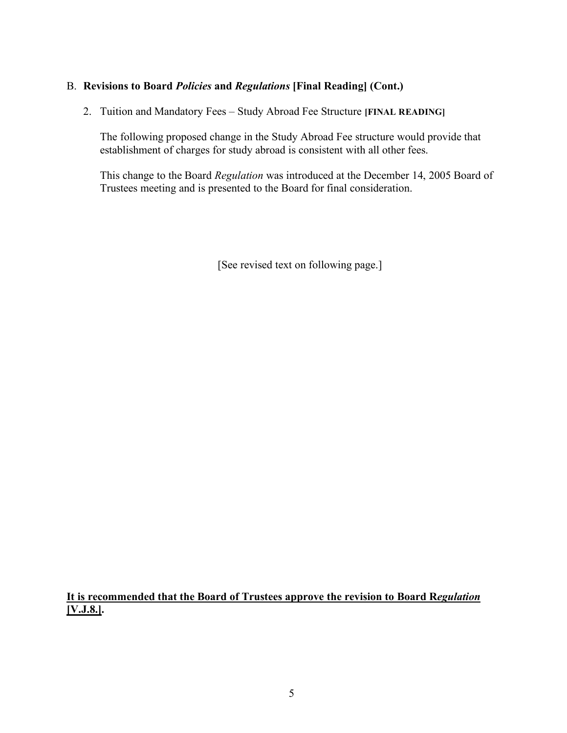2. Tuition and Mandatory Fees – Study Abroad Fee Structure **[FINAL READING]**

The following proposed change in the Study Abroad Fee structure would provide that establishment of charges for study abroad is consistent with all other fees.

This change to the Board *Regulation* was introduced at the December 14, 2005 Board of Trustees meeting and is presented to the Board for final consideration.

[See revised text on following page.]

**It is recommended that the Board of Trustees approve the revision to Board R***egulation* **[V.J.8.].**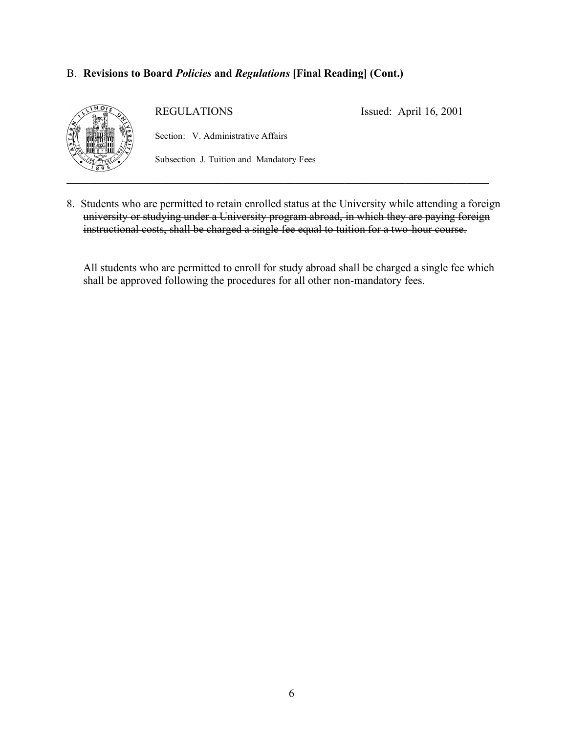

REGULATIONS

Issued: April 16, 2001

Section: V. Administrative Affairs

Subsection J. Tuition and Mandatory Fees

8. Students who are permitted to retain enrolled status at the University while attending a foreign university or studying under a University program abroad, in which they are paying foreign instructional costs, shall be charged a single fee equal to tuition for a two-hour course.

All students who are permitted to enroll for study abroad shall be charged a single fee which shall be approved following the procedures for all other non-mandatory fees.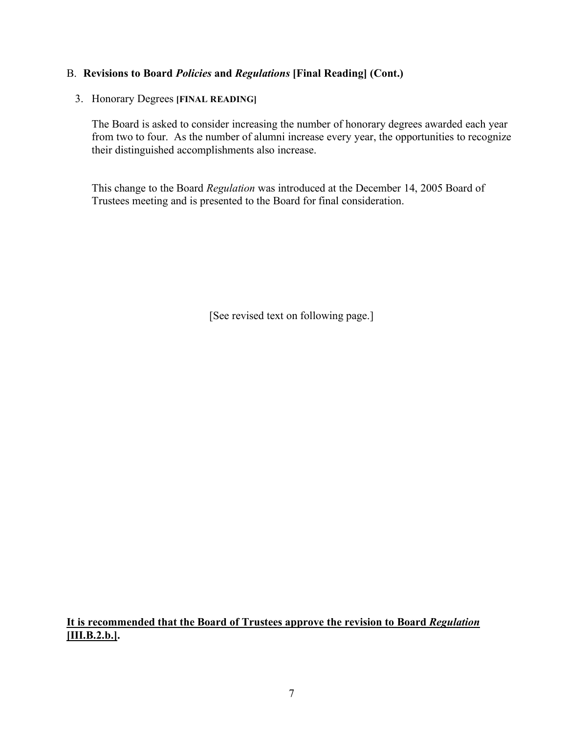#### 3. Honorary Degrees **[FINAL READING]**

The Board is asked to consider increasing the number of honorary degrees awarded each year from two to four. As the number of alumni increase every year, the opportunities to recognize their distinguished accomplishments also increase.

This change to the Board *Regulation* was introduced at the December 14, 2005 Board of Trustees meeting and is presented to the Board for final consideration.

[See revised text on following page.]

**It is recommended that the Board of Trustees approve the revision to Board** *Regulation* **[III.B.2.b.].**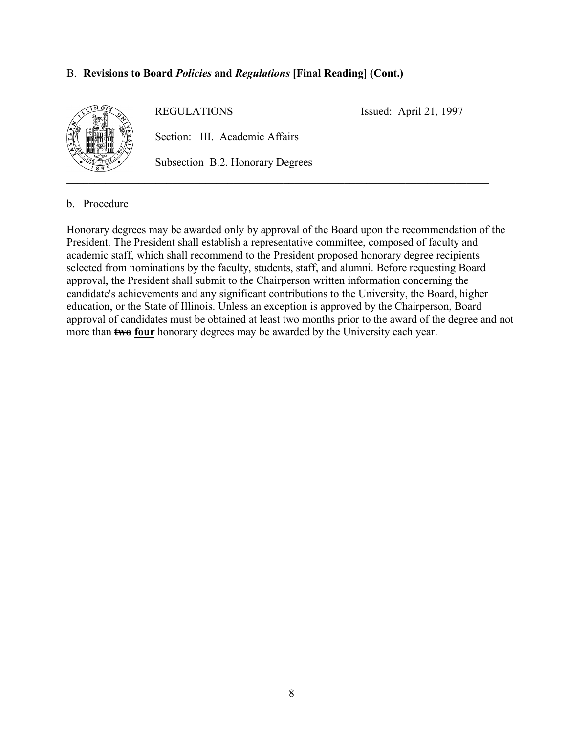

REGULATIONS

Issued: April 21, 1997

Section: III. Academic Affairs

Subsection B.2. Honorary Degrees

b. Procedure

Honorary degrees may be awarded only by approval of the Board upon the recommendation of the President. The President shall establish a representative committee, composed of faculty and academic staff, which shall recommend to the President proposed honorary degree recipients selected from nominations by the faculty, students, staff, and alumni. Before requesting Board approval, the President shall submit to the Chairperson written information concerning the candidate's achievements and any significant contributions to the University, the Board, higher education, or the State of Illinois. Unless an exception is approved by the Chairperson, Board approval of candidates must be obtained at least two months prior to the award of the degree and not more than **two four** honorary degrees may be awarded by the University each year.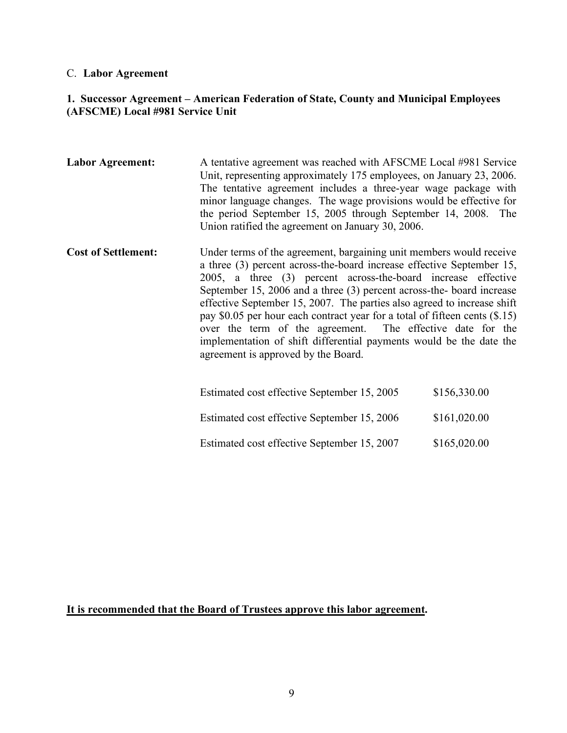## C. **Labor Agreement**

## **1. Successor Agreement – American Federation of State, County and Municipal Employees (AFSCME) Local #981 Service Unit**

| <b>Labor Agreement:</b>    | A tentative agreement was reached with AFSCME Local #981 Service<br>Unit, representing approximately 175 employees, on January 23, 2006.<br>The tentative agreement includes a three-year wage package with<br>minor language changes. The wage provisions would be effective for<br>the period September 15, 2005 through September 14, 2008. The<br>Union ratified the agreement on January 30, 2006.                                                                                                                                                                                                                        |              |
|----------------------------|--------------------------------------------------------------------------------------------------------------------------------------------------------------------------------------------------------------------------------------------------------------------------------------------------------------------------------------------------------------------------------------------------------------------------------------------------------------------------------------------------------------------------------------------------------------------------------------------------------------------------------|--------------|
| <b>Cost of Settlement:</b> | Under terms of the agreement, bargaining unit members would receive<br>a three (3) percent across-the-board increase effective September 15,<br>2005, a three (3) percent across-the-board increase effective<br>September 15, 2006 and a three (3) percent across-the- board increase<br>effective September 15, 2007. The parties also agreed to increase shift<br>pay \$0.05 per hour each contract year for a total of fifteen cents $(\$.15)$<br>over the term of the agreement. The effective date for the<br>implementation of shift differential payments would be the date the<br>agreement is approved by the Board. |              |
|                            | Estimated cost effective September 15, 2005                                                                                                                                                                                                                                                                                                                                                                                                                                                                                                                                                                                    | \$156,330.00 |
|                            | Estimated cost effective September 15, 2006                                                                                                                                                                                                                                                                                                                                                                                                                                                                                                                                                                                    | \$161,020.00 |
|                            | Estimated cost effective September 15, 2007                                                                                                                                                                                                                                                                                                                                                                                                                                                                                                                                                                                    | \$165,020.00 |

## **It is recommended that the Board of Trustees approve this labor agreement.**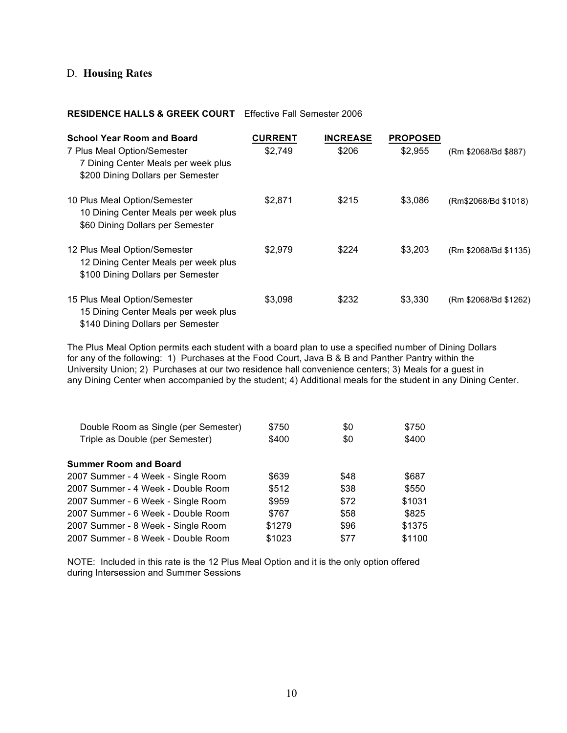## D. **Housing Rates**

#### **RESIDENCE HALLS & GREEK COURT** Effective Fall Semester 2006

| <b>School Year Room and Board</b><br>7 Plus Meal Option/Semester<br>7 Dining Center Meals per week plus<br>\$200 Dining Dollars per Semester | <b>CURRENT</b><br>\$2,749 | <b>INCREASE</b><br>\$206 | <b>PROPOSED</b><br>\$2,955 | (Rm \$2068/Bd \$887)  |
|----------------------------------------------------------------------------------------------------------------------------------------------|---------------------------|--------------------------|----------------------------|-----------------------|
| 10 Plus Meal Option/Semester<br>10 Dining Center Meals per week plus<br>\$60 Dining Dollars per Semester                                     | \$2.871                   | \$215                    | \$3,086                    | (Rm\$2068/Bd \$1018)  |
| 12 Plus Meal Option/Semester<br>12 Dining Center Meals per week plus<br>\$100 Dining Dollars per Semester                                    | \$2.979                   | \$224                    | \$3,203                    | (Rm \$2068/Bd \$1135) |
| 15 Plus Meal Option/Semester<br>15 Dining Center Meals per week plus<br>\$140 Dining Dollars per Semester                                    | \$3,098                   | \$232                    | \$3,330                    | (Rm \$2068/Bd \$1262) |

The Plus Meal Option permits each student with a board plan to use a specified number of Dining Dollars for any of the following: 1) Purchases at the Food Court, Java B & B and Panther Pantry within the University Union; 2) Purchases at our two residence hall convenience centers; 3) Meals for a guest in any Dining Center when accompanied by the student; 4) Additional meals for the student in any Dining Center.

| Double Room as Single (per Semester) | \$750  | \$0  | \$750  |
|--------------------------------------|--------|------|--------|
| Triple as Double (per Semester)      | \$400  | \$0  | \$400  |
| Summer Room and Board                |        |      |        |
| 2007 Summer - 4 Week - Single Room   | \$639  | \$48 | \$687  |
| 2007 Summer - 4 Week - Double Room   | \$512  | \$38 | \$550  |
| 2007 Summer - 6 Week - Single Room   | \$959  | \$72 | \$1031 |
| 2007 Summer - 6 Week - Double Room   | \$767  | \$58 | \$825  |
| 2007 Summer - 8 Week - Single Room   | \$1279 | \$96 | \$1375 |
| 2007 Summer - 8 Week - Double Room   | \$1023 | \$77 | \$1100 |

NOTE: Included in this rate is the 12 Plus Meal Option and it is the only option offered during Intersession and Summer Sessions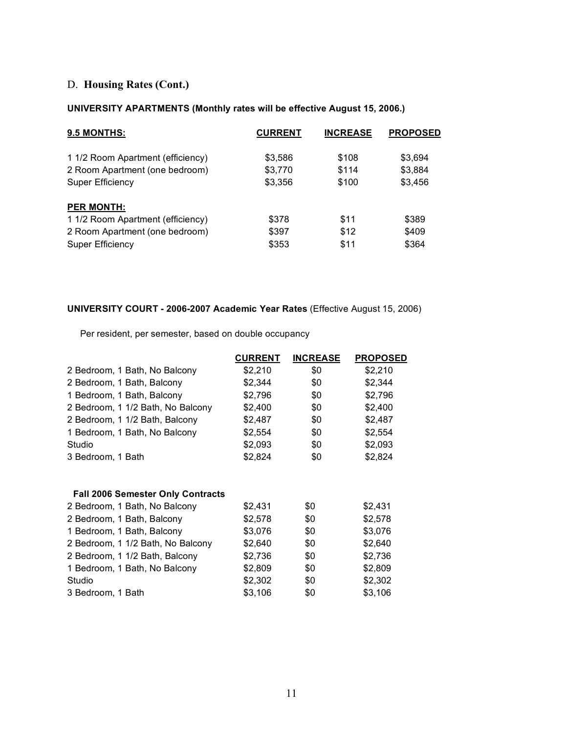## D. **Housing Rates (Cont.)**

#### **UNIVERSITY APARTMENTS (Monthly rates will be effective August 15, 2006.)**

| 9.5 MONTHS:                       | <b>CURRENT</b> | <b>INCREASE</b> | <b>PROPOSED</b> |
|-----------------------------------|----------------|-----------------|-----------------|
| 1 1/2 Room Apartment (efficiency) | \$3,586        | \$108           | \$3,694         |
| 2 Room Apartment (one bedroom)    | \$3,770        | \$114           | \$3,884         |
| Super Efficiency                  | \$3,356        | \$100           | \$3,456         |
| <b>PER MONTH:</b>                 |                |                 |                 |
| 1 1/2 Room Apartment (efficiency) | \$378          | \$11            | \$389           |
| 2 Room Apartment (one bedroom)    | \$397          | \$12            | \$409           |
| Super Efficiency                  | \$353          | \$11            | \$364           |

#### **UNIVERSITY COURT - 2006-2007 Academic Year Rates** (Effective August 15, 2006)

Per resident, per semester, based on double occupancy

|                                          | <b>CURRENT</b> | <b>INCREASE</b> | <b>PROPOSED</b> |
|------------------------------------------|----------------|-----------------|-----------------|
| 2 Bedroom, 1 Bath, No Balcony            | \$2,210        | \$0             | \$2,210         |
| 2 Bedroom, 1 Bath, Balcony               | \$2,344        | \$0             | \$2,344         |
| 1 Bedroom, 1 Bath, Balcony               | \$2,796        | \$0             | \$2,796         |
| 2 Bedroom, 1 1/2 Bath, No Balcony        | \$2,400        | \$0             | \$2,400         |
| 2 Bedroom, 1 1/2 Bath, Balcony           | \$2,487        | \$0             | \$2,487         |
| 1 Bedroom, 1 Bath, No Balcony            | \$2,554        | \$0             | \$2,554         |
| Studio                                   | \$2,093        | \$0             | \$2,093         |
| 3 Bedroom, 1 Bath                        | \$2,824        | \$0             | \$2,824         |
|                                          |                |                 |                 |
| <b>Fall 2006 Semester Only Contracts</b> |                |                 |                 |
| 2 Bedroom, 1 Bath, No Balcony            | \$2,431        | \$0             | \$2,431         |
| 2 Bedroom, 1 Bath, Balcony               | \$2,578        | \$0             | \$2,578         |
| 1 Bedroom, 1 Bath, Balcony               | \$3,076        | \$0             | \$3,076         |
| 2 Bedroom, 1 1/2 Bath, No Balcony        | \$2,640        | \$0             | \$2,640         |
| 2 Bedroom, 1 1/2 Bath, Balcony           | \$2,736        | \$0             | \$2,736         |
| 1 Bedroom, 1 Bath, No Balcony            | \$2,809        | \$0             | \$2,809         |
| Studio                                   | \$2,302        | \$0             | \$2,302         |
| 3 Bedroom, 1 Bath                        | \$3,106        | \$0             | \$3,106         |
|                                          |                |                 |                 |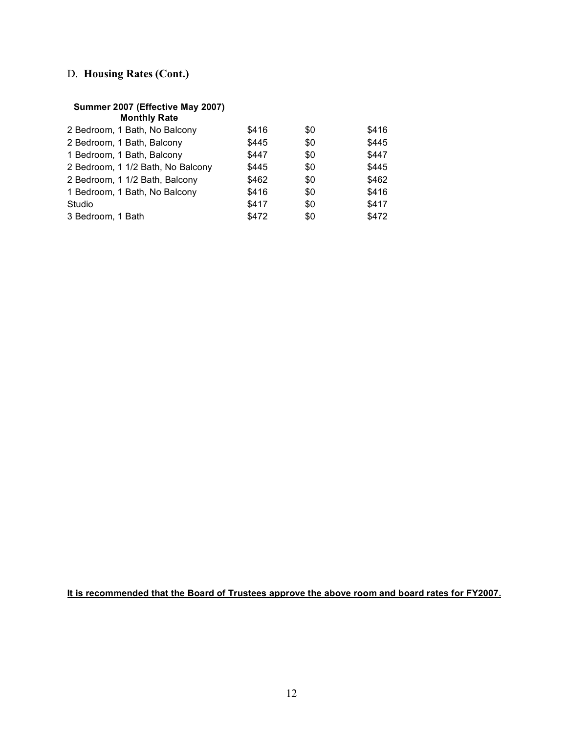## D. **Housing Rates (Cont.)**

#### **Summer 2007 (Effective May 2007)**

| \$416 | \$0 | \$416 |
|-------|-----|-------|
| \$445 | \$0 | \$445 |
| \$447 | \$0 | \$447 |
| \$445 | \$0 | \$445 |
| \$462 | \$0 | \$462 |
| \$416 | \$0 | \$416 |
| \$417 | \$0 | \$417 |
| \$472 | \$0 | \$472 |
|       |     |       |

**It is recommended that the Board of Trustees approve the above room and board rates for FY2007.**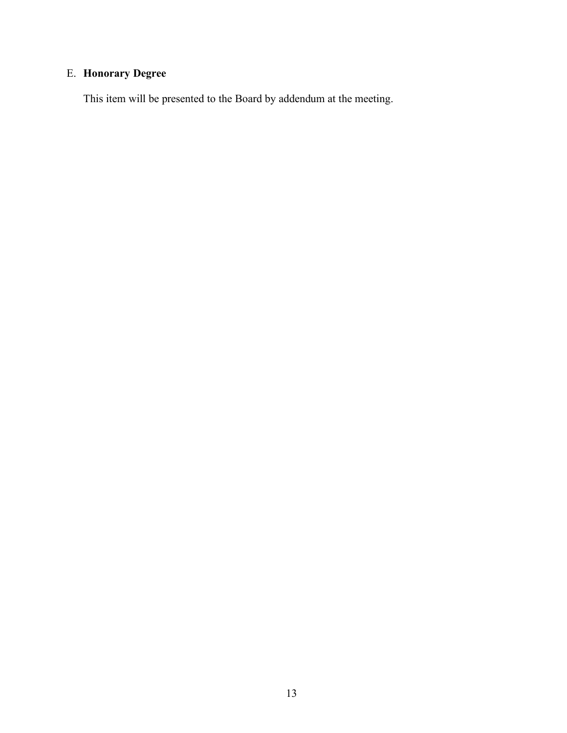# E. **Honorary Degree**

This item will be presented to the Board by addendum at the meeting.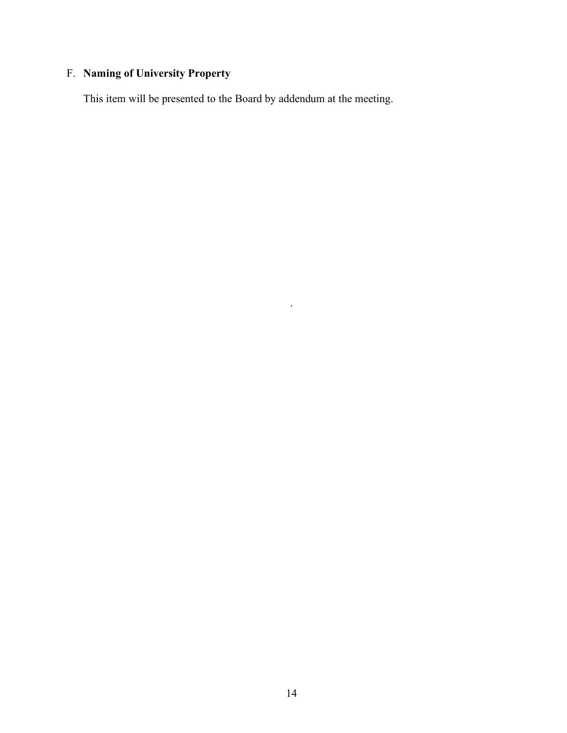# F. **Naming of University Property**

This item will be presented to the Board by addendum at the meeting.

.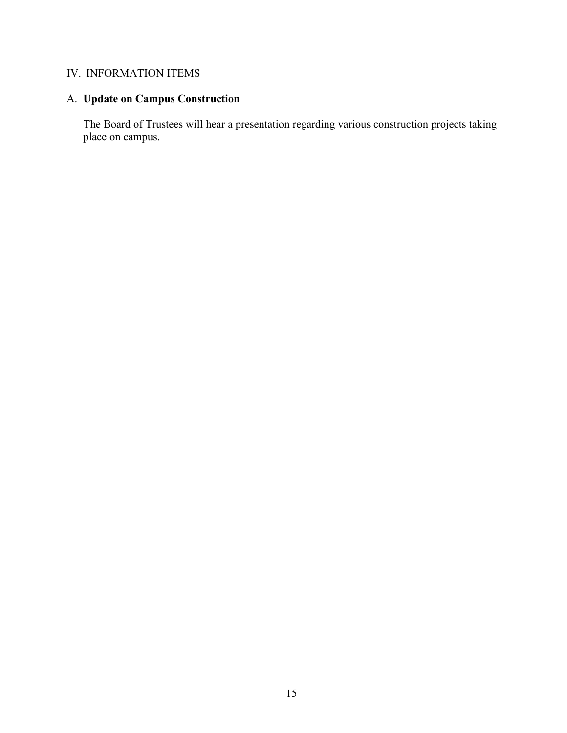## IV. INFORMATION ITEMS

## A. **Update on Campus Construction**

The Board of Trustees will hear a presentation regarding various construction projects taking place on campus.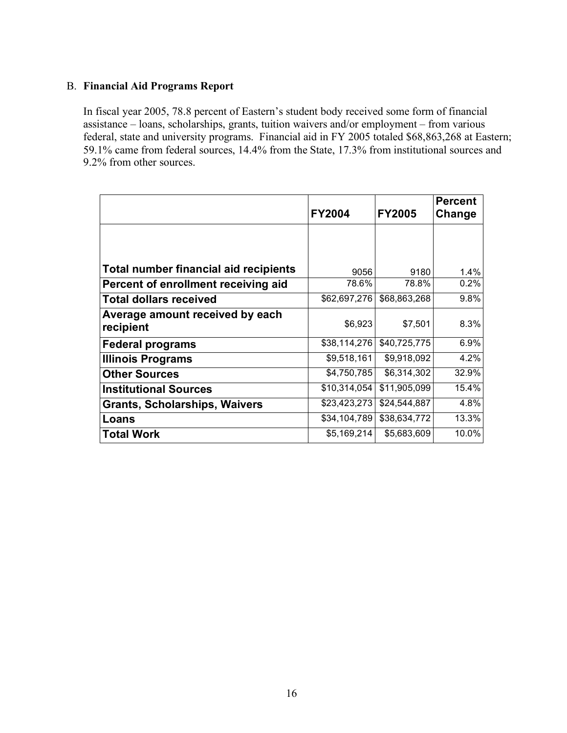### B. **Financial Aid Programs Report**

In fiscal year 2005, 78.8 percent of Eastern's student body received some form of financial assistance – loans, scholarships, grants, tuition waivers and/or employment – from various federal, state and university programs. Financial aid in FY 2005 totaled \$68,863,268 at Eastern; 59.1% came from federal sources, 14.4% from the State, 17.3% from institutional sources and 9.2% from other sources.

|                                              | <b>FY2004</b> | <b>FY2005</b> | <b>Percent</b><br>Change |
|----------------------------------------------|---------------|---------------|--------------------------|
|                                              |               |               |                          |
| <b>Total number financial aid recipients</b> | 9056          | 9180          | 1.4%                     |
| Percent of enrollment receiving aid          | 78.6%         | 78.8%         | 0.2%                     |
| <b>Total dollars received</b>                | \$62,697,276  | \$68,863,268  | 9.8%                     |
| Average amount received by each<br>recipient | \$6,923       | \$7,501       | 8.3%                     |
| <b>Federal programs</b>                      | \$38,114,276  | \$40,725,775  | 6.9%                     |
| <b>Illinois Programs</b>                     | \$9,518,161   | \$9,918,092   | 4.2%                     |
| <b>Other Sources</b>                         | \$4,750,785   | \$6,314,302   | 32.9%                    |
| <b>Institutional Sources</b>                 | \$10,314,054  | \$11,905,099  | 15.4%                    |
| <b>Grants, Scholarships, Waivers</b>         | \$23,423,273  | \$24,544,887  | 4.8%                     |
| Loans                                        | \$34,104,789  | \$38,634,772  | 13.3%                    |
| Total Work                                   | \$5,169,214   | \$5,683,609   | 10.0%                    |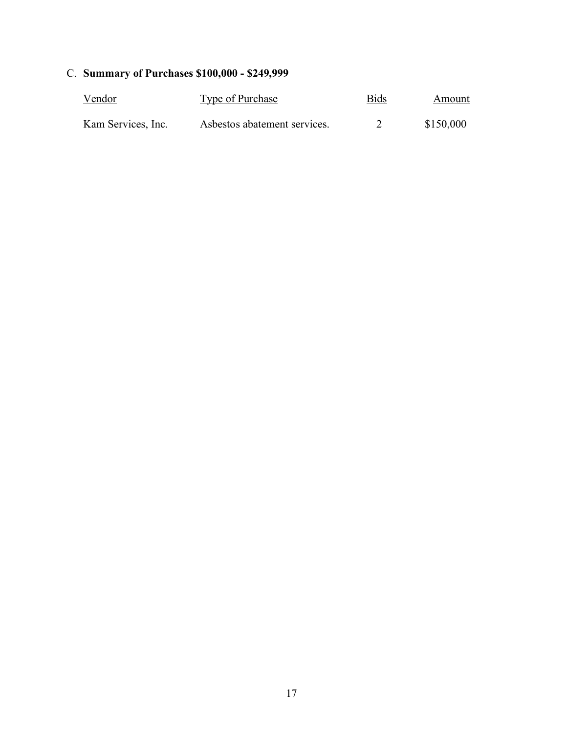# C. **Summary of Purchases \$100,000 - \$249,999**

| <u>Vendor</u>      | Type of Purchase             | <b>Bids</b> | Amount    |  |
|--------------------|------------------------------|-------------|-----------|--|
| Kam Services, Inc. | Asbestos abatement services. |             | \$150,000 |  |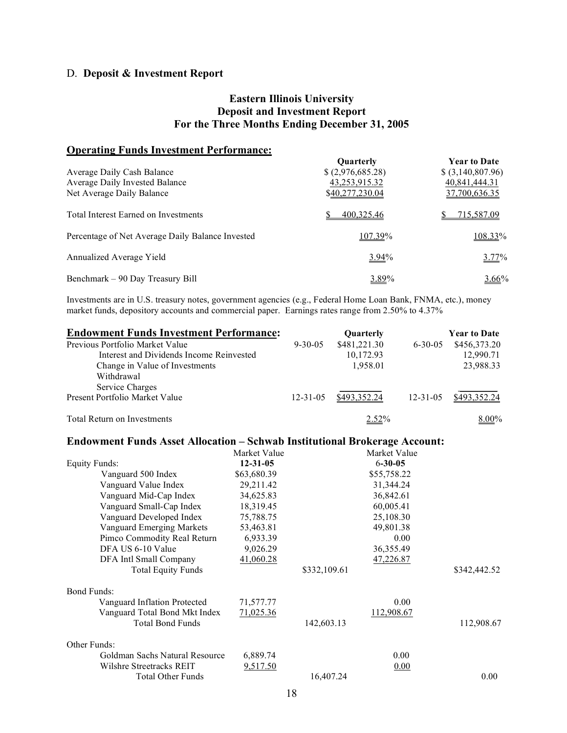## D. **Deposit & Investment Report**

#### **Eastern Illinois University Deposit and Investment Report For the Three Months Ending December 31, 2005**

## **Operating Funds Investment Performance:**

|                                                  | <b>Ouarterly</b>  | <b>Year to Date</b> |
|--------------------------------------------------|-------------------|---------------------|
| Average Daily Cash Balance                       | \$ (2,976,685.28) | $$$ (3,140,807.96)  |
| Average Daily Invested Balance                   | 43,253,915.32     | 40,841,444.31       |
| Net Average Daily Balance                        | \$40,277,230.04   | 37,700,636.35       |
| <b>Total Interest Earned on Investments</b>      | 400,325.46        | 715,587.09          |
| Percentage of Net Average Daily Balance Invested | 107.39%           | 108.33%             |
| Annualized Average Yield                         | $3.94\%$          | 3.77%               |
| Benchmark - 90 Day Treasury Bill                 | 3.89%             | 3.66%               |

Investments are in U.S. treasury notes, government agencies (e.g., Federal Home Loan Bank, FNMA, etc.), money market funds, depository accounts and commercial paper. Earnings rates range from 2.50% to 4.37%

| <b>Endowment Funds Investment Performance:</b>                                    |                        |                | Quarterly     |                | <b>Year to Date</b> |
|-----------------------------------------------------------------------------------|------------------------|----------------|---------------|----------------|---------------------|
| Previous Portfolio Market Value                                                   |                        | $9 - 30 - 05$  | \$481,221.30  | $6 - 30 - 05$  | \$456,373.20        |
| Interest and Dividends Income Reinvested                                          |                        |                | 10,172.93     |                | 12,990.71           |
| Change in Value of Investments                                                    |                        |                | 1,958.01      |                | 23,988.33           |
| Withdrawal                                                                        |                        |                |               |                |                     |
| Service Charges                                                                   |                        |                |               |                |                     |
| Present Portfolio Market Value                                                    |                        | $12 - 31 - 05$ | \$493,352.24  | $12 - 31 - 05$ | \$493,352.24        |
| <b>Total Return on Investments</b>                                                |                        |                | 2.52%         |                | 8.00%               |
| <b>Endowment Funds Asset Allocation - Schwab Institutional Brokerage Account:</b> |                        |                |               |                |                     |
|                                                                                   | Market Value           |                | Market Value  |                |                     |
| <b>Equity Funds:</b>                                                              | $12 - 31 - 05$         |                | $6 - 30 - 05$ |                |                     |
| Vanguard 500 Index                                                                | \$63,680.39            |                | \$55,758.22   |                |                     |
| Vanguard Value Index                                                              | 29,211.42              |                | 31,344.24     |                |                     |
| Vanguard Mid-Cap Index                                                            | 34,625.83<br>36,842.61 |                |               |                |                     |
| Vanguard Small-Cap Index                                                          | 18,319.45              |                | 60,005.41     |                |                     |
| Vanguard Developed Index                                                          | 75,788.75              | 25,108.30      |               |                |                     |
| <b>Vanguard Emerging Markets</b>                                                  | 53,463.81              |                | 49,801.38     |                |                     |
| Pimco Commodity Real Return                                                       | 6,933.39               |                |               | 0.00           |                     |
| DFA US 6-10 Value                                                                 | 9,026.29               |                | 36,355.49     |                |                     |
| DFA Intl Small Company                                                            | 41,060.28              |                | 47,226.87     |                |                     |
| <b>Total Equity Funds</b>                                                         |                        | \$332,109.61   |               |                | \$342,442.52        |
| <b>Bond Funds:</b>                                                                |                        |                |               |                |                     |
| Vanguard Inflation Protected                                                      | 71,577.77              |                |               | 0.00           |                     |
| Vanguard Total Bond Mkt Index                                                     | 71,025.36              |                | 112,908.67    |                |                     |
| <b>Total Bond Funds</b>                                                           |                        | 142,603.13     |               |                | 112,908.67          |
| Other Funds:                                                                      |                        |                |               |                |                     |
| Goldman Sachs Natural Resource                                                    | 6,889.74               |                |               | 0.00           |                     |
| Wilshre Streetracks REIT                                                          | 9,517.50               |                |               | 0.00           |                     |
| <b>Total Other Funds</b>                                                          |                        | 16.407.24      |               |                | 0.00                |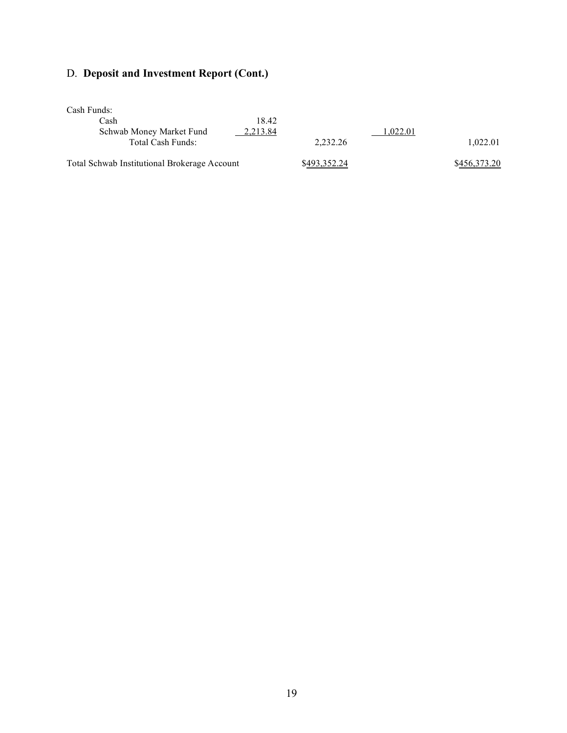# D. **Deposit and Investment Report (Cont.)**

Cash Funds:

| Cash                                         | 18.42    |              |          |              |
|----------------------------------------------|----------|--------------|----------|--------------|
| Schwab Money Market Fund                     | 2,213.84 |              | 1,022.01 |              |
| Total Cash Funds:                            |          | 2.232.26     |          | 1.022.01     |
|                                              |          |              |          |              |
| Total Schwab Institutional Brokerage Account |          | \$493,352,24 |          | \$456,373.20 |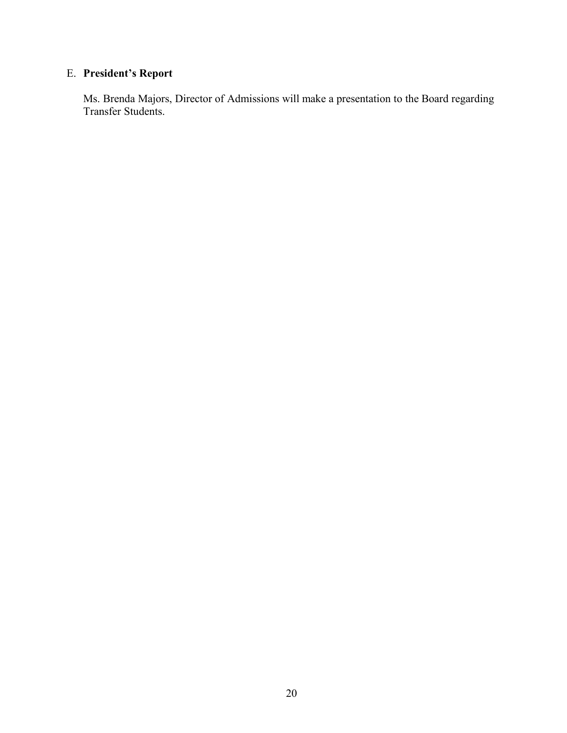## E. **President's Report**

Ms. Brenda Majors, Director of Admissions will make a presentation to the Board regarding Transfer Students.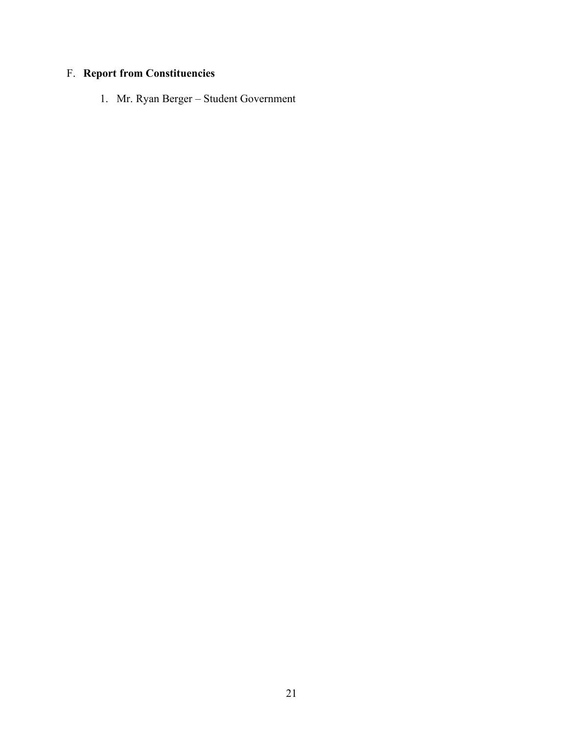# F. **Report from Constituencies**

1. Mr. Ryan Berger – Student Government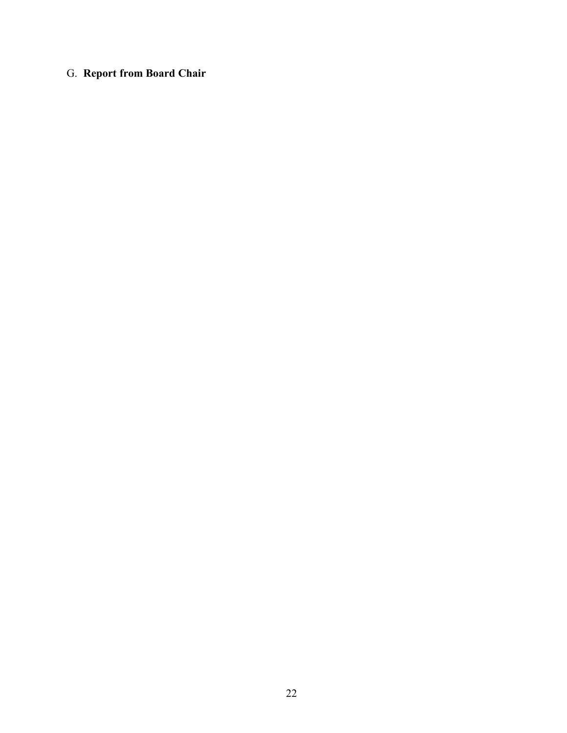## G. **Report from Board Chair**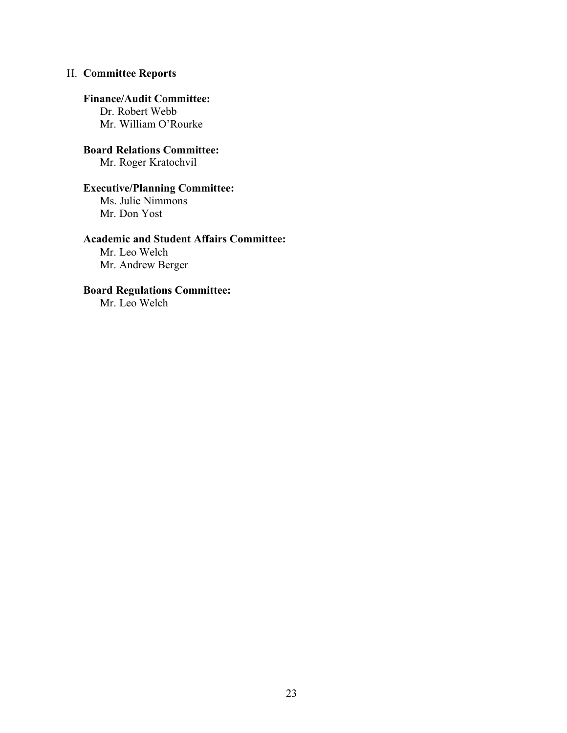## H. **Committee Reports**

#### **Finance/Audit Committee:**

Dr. Robert Webb Mr. William O'Rourke

**Board Relations Committee:** Mr. Roger Kratochvil

## **Executive/Planning Committee:**

Ms. Julie Nimmons Mr. Don Yost

## **Academic and Student Affairs Committee:**

Mr. Leo Welch Mr. Andrew Berger

## **Board Regulations Committee:**

Mr. Leo Welch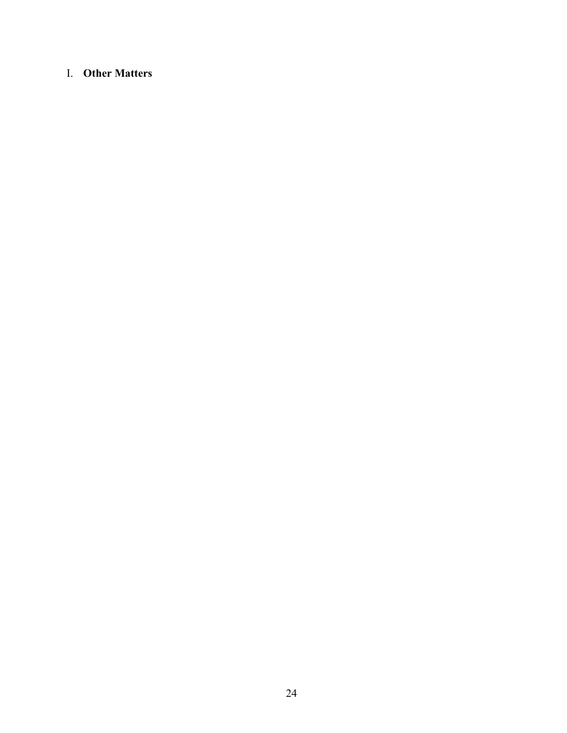## I. **Other Matters**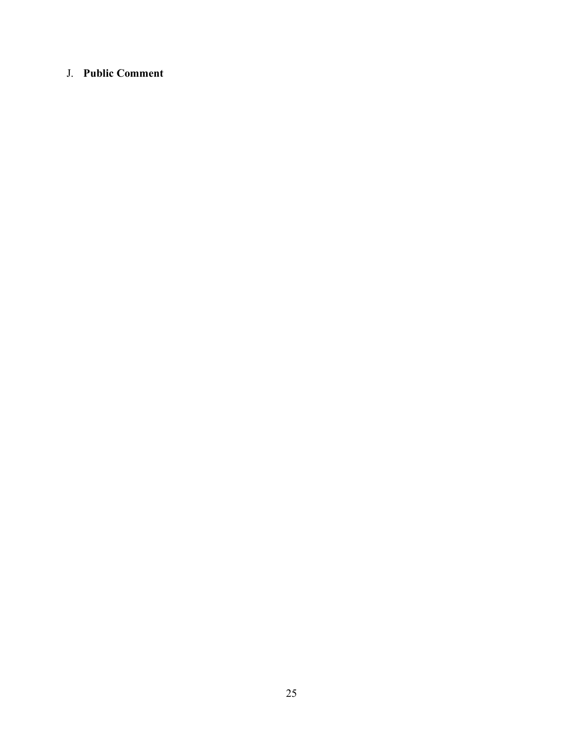## J. **Public Comment**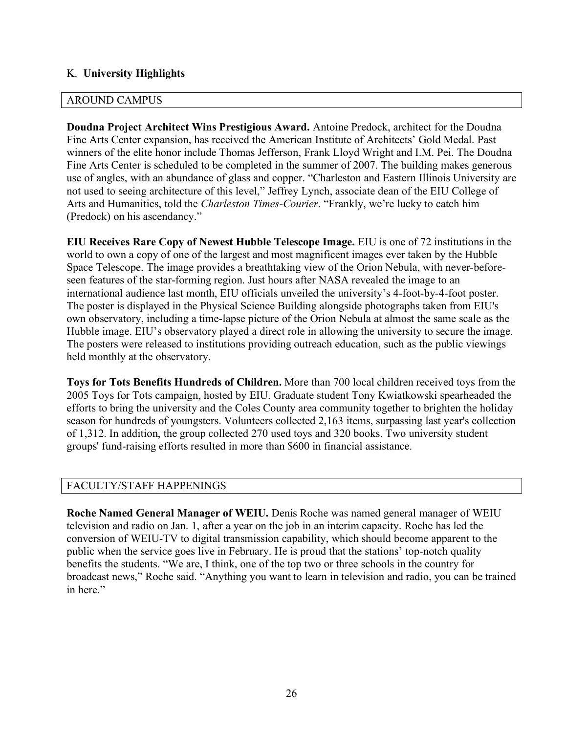## K. **University Highlights**

## AROUND CAMPUS

**Doudna Project Architect Wins Prestigious Award.** Antoine Predock, architect for the Doudna Fine Arts Center expansion, has received the American Institute of Architects' Gold Medal. Past winners of the elite honor include Thomas Jefferson, Frank Lloyd Wright and I.M. Pei. The Doudna Fine Arts Center is scheduled to be completed in the summer of 2007. The building makes generous use of angles, with an abundance of glass and copper. "Charleston and Eastern Illinois University are not used to seeing architecture of this level," Jeffrey Lynch, associate dean of the EIU College of Arts and Humanities, told the *Charleston Times-Courier*. "Frankly, we're lucky to catch him (Predock) on his ascendancy."

**EIU Receives Rare Copy of Newest Hubble Telescope Image.** EIU is one of 72 institutions in the world to own a copy of one of the largest and most magnificent images ever taken by the Hubble Space Telescope. The image provides a breathtaking view of the Orion Nebula, with never-beforeseen features of the star-forming region. Just hours after NASA revealed the image to an international audience last month, EIU officials unveiled the university's 4-foot-by-4-foot poster. The poster is displayed in the Physical Science Building alongside photographs taken from EIU's own observatory, including a time-lapse picture of the Orion Nebula at almost the same scale as the Hubble image. EIU's observatory played a direct role in allowing the university to secure the image. The posters were released to institutions providing outreach education, such as the public viewings held monthly at the observatory.

**Toys for Tots Benefits Hundreds of Children.** More than 700 local children received toys from the 2005 Toys for Tots campaign, hosted by EIU. Graduate student Tony Kwiatkowski spearheaded the efforts to bring the university and the Coles County area community together to brighten the holiday season for hundreds of youngsters. Volunteers collected 2,163 items, surpassing last year's collection of 1,312. In addition, the group collected 270 used toys and 320 books. Two university student groups' fund-raising efforts resulted in more than \$600 in financial assistance.

## FACULTY/STAFF HAPPENINGS

**Roche Named General Manager of WEIU.** Denis Roche was named general manager of WEIU television and radio on Jan. 1, after a year on the job in an interim capacity. Roche has led the conversion of WEIU-TV to digital transmission capability, which should become apparent to the public when the service goes live in February. He is proud that the stations' top-notch quality benefits the students. "We are, I think, one of the top two or three schools in the country for broadcast news," Roche said. "Anything you want to learn in television and radio, you can be trained in here."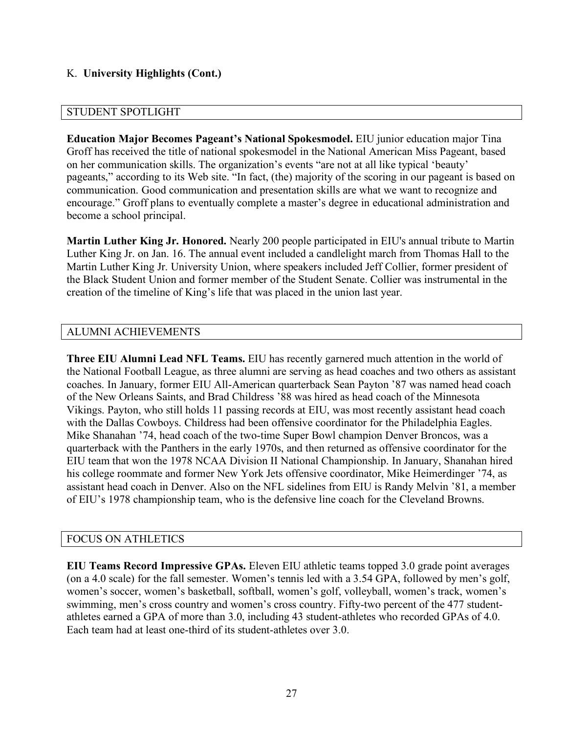## K. **University Highlights (Cont.)**

#### STUDENT SPOTLIGHT

**Education Major Becomes Pageant's National Spokesmodel.** EIU junior education major Tina Groff has received the title of national spokesmodel in the National American Miss Pageant, based on her communication skills. The organization's events "are not at all like typical 'beauty' pageants," according to its Web site. "In fact, (the) majority of the scoring in our pageant is based on communication. Good communication and presentation skills are what we want to recognize and encourage." Groff plans to eventually complete a master's degree in educational administration and become a school principal.

**Martin Luther King Jr. Honored.** Nearly 200 people participated in EIU's annual tribute to Martin Luther King Jr. on Jan. 16. The annual event included a candlelight march from Thomas Hall to the Martin Luther King Jr. University Union, where speakers included Jeff Collier, former president of the Black Student Union and former member of the Student Senate. Collier was instrumental in the creation of the timeline of King's life that was placed in the union last year.

## ALUMNI ACHIEVEMENTS

**Three EIU Alumni Lead NFL Teams.** EIU has recently garnered much attention in the world of the National Football League, as three alumni are serving as head coaches and two others as assistant coaches. In January, former EIU All-American quarterback Sean Payton '87 was named head coach of the New Orleans Saints, and Brad Childress '88 was hired as head coach of the Minnesota Vikings. Payton, who still holds 11 passing records at EIU, was most recently assistant head coach with the Dallas Cowboys. Childress had been offensive coordinator for the Philadelphia Eagles. Mike Shanahan '74, head coach of the two-time Super Bowl champion Denver Broncos, was a quarterback with the Panthers in the early 1970s, and then returned as offensive coordinator for the EIU team that won the 1978 NCAA Division II National Championship. In January, Shanahan hired his college roommate and former New York Jets offensive coordinator, Mike Heimerdinger '74, as assistant head coach in Denver. Also on the NFL sidelines from EIU is Randy Melvin '81, a member of EIU's 1978 championship team, who is the defensive line coach for the Cleveland Browns.

#### FOCUS ON ATHLETICS

**EIU Teams Record Impressive GPAs.** Eleven EIU athletic teams topped 3.0 grade point averages (on a 4.0 scale) for the fall semester. Women's tennis led with a 3.54 GPA, followed by men's golf, women's soccer, women's basketball, softball, women's golf, volleyball, women's track, women's swimming, men's cross country and women's cross country. Fifty-two percent of the 477 studentathletes earned a GPA of more than 3.0, including 43 student-athletes who recorded GPAs of 4.0. Each team had at least one-third of its student-athletes over 3.0.